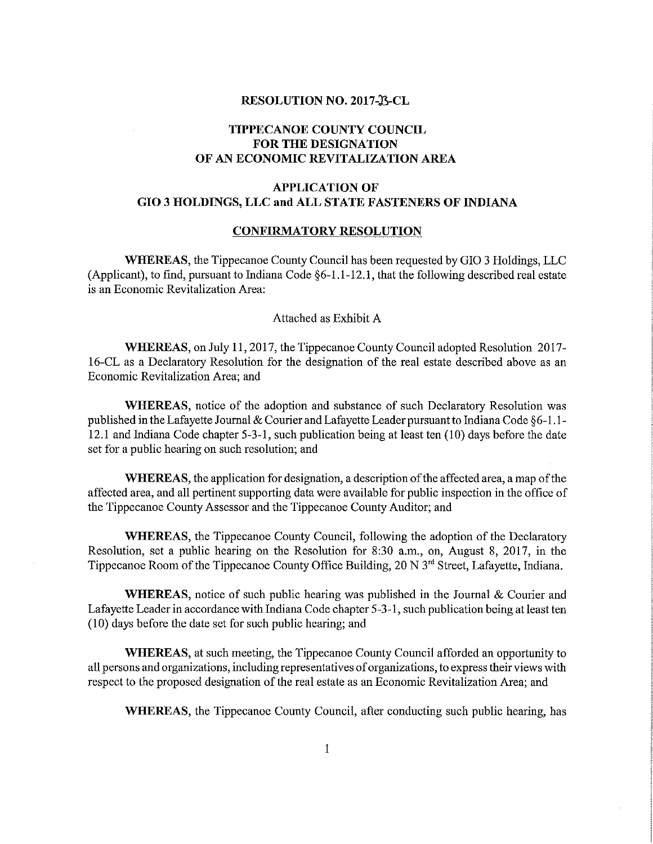### RESOLUTION NO. 2017-33-CL

# TIPPECANOE COUNTY COUNCIL FOR THE DESIGNATION OF AN ECONOMIC REVITALIZATION AREA

# APPLICATION OF G10 3 HOLDINGS, LLC and ALL STATE FASTENERS OF INDIANA

#### CONFIRMATORY RESOLUTION

WHEREAS, the Tippecanoe County Council has been requested by G10 3 Holdings, LLC (Applicant), to find, pursuant to Indiana Code  $\S6-1.1-12.1$ , that the following described real estate is an Economic Revitalization Area: .

### Attached as Exhibit A

WHEREAS, on July 11, 2017, the Tippecanoe County Council adopted Resolution 2017–-16-CL as a Declaratory Resolution for the designation of the real estate described above as an Economic Revitalization Area; and

WHEREAS, notice of the adoption and substance of such Declaratory Resolution was published in the Lafayette Journal & Courier and Lafayette Leader pursuant to Indiana Code §6-1.1-12.1 and Indiana Code chapter 5—3—1, such publication being at least ten (10) days before the date set for <sup>a</sup> public hearing on such resolution; and

WHEREAS, the application for designation, a description of the affected area, a map of the affected area, and all pertinent supporting data were available for public inspection in the office of the Tippecanoe County Assessor and the Tippecanoe County Auditor; and

WHEREAS, the Tippecanoe County Council, following the adoption of the Declaratory Resolution, set a public hearing on the Resolution for 8:30 a.m., on, August 8, 2017, in the Tippecanoe Room of the Tippecanoe County Office Building, 20 N 3<sup>rd</sup> Street, Lafayette, Indiana.

WHEREAS, notice of such public hearing was published in the Journal  $\&$  Courier and Lafayette Leader in accordance with Indiana Code chapter 5-3-1, such publication being at least ten (10) days before the date set for such public hearing; and

WHEREAS, at such meeting, the Tippecanoe County Council afforded an opportunity to all persons and organizations, including representatives oforganizations, to express their views with respect to the proposed designation of the real estate as an Economic Revitalization Area; and

WHEREAS, the Tippecanoe County Council, after conducting such public hearing, has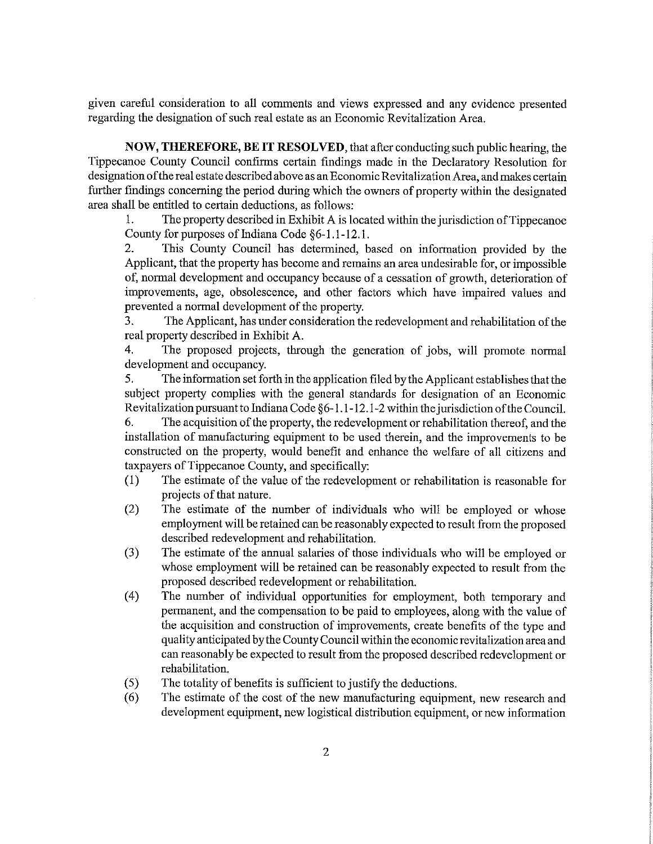given careful consideration to all comments and views expressed and any evidence presented regarding the designation of such real estate as an Economic Revitalization Area.

NOW, THEREFORE, BE IT RESOLVED, that after conducting such public hearing, the Tippecanoe County Council confirms certain findings made in the Declaratory Resolution for designation ofthe real estate described above as an Economic Revitalization Area, and makes certain further findings concerning the period during which the owners of property within the designated area shall be entitled to certain deductions, as follows:

1. The property described in Exhibit A is located within the jurisdiction of Tippecanoe County for purposes of Indiana Code §6~1 . 1-12. 1.

2. This County Council has detennined, based on information provided by the Applicant, that the property has become and remains an area undesirable for, or impossible of, normal development and occupancy because of <sup>a</sup> cessation of growth, deterioration of improvements, age, obsolescence, and other factors which have impaired values and prevented <sup>a</sup> normal development of the property.

3. The Applicant, has under consideration the redevelopment and rehabilitation of the real property described in Exhibit A.

4. The proposed projects, through the generation of jobs, will promote normal development and occupancy.

5. The information set forth in the application filed by the Applicant establishes that the subject property complies with the general standards for designation of an Economic Revitalization pursuant to Indiana Code §6-1.1-12.1-2 within the jurisdiction of the Council.

6. The acquisition ofthe property, the redevelopment or rehabilitation thereof, and the installation of manufacturing equipment to be used therein, and the improvements to be constructed on the property, would benefit and enhance the welfare of all citizens and taxpayers of Tippecanoe County, and specifically:

- (l) The estimate of the value of the redevelopment or rehabilitation is reasonable for projects of that nature.
- (2) The estimate of the number of individuals who will be employed or whose employment will be retained can be reasonably expected to result from the proposed described redevelopment and rehabilitation.
- (3) The estimate of the annual salaries of those individuals who will be employed or whose employment will be retained can be reasonably expected to result from the proposed described redevelopment or rehabilitation.
- (4) The number of individual opportunities for employment, both temporary and permanent, and the compensation to be paid to employees, along with the value of the acquisition and construction of improvements, create benefits of the type and quality anticipated by the County Council within the economic revitalization area and can reasonably be expected to result from the proposed described redevelopment or rehabilitation.
- (5) The totality of benefits is sufficient to justify the deductions.
- (6) The estimate of the costof the new manufacturing equipment, new research and development equipment, new logistical distribution equipment, or new information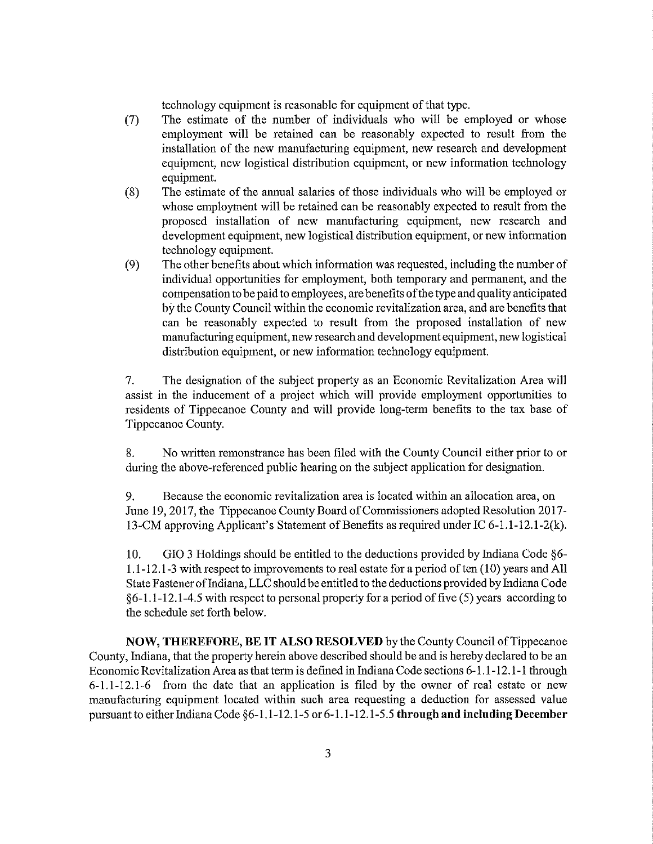technology equipment is reasonable for equipment of that type.

- (7) The estimate of the number of individuals who will be employed or whose employment will be retained can be reasonably expected to result from the installation of the new manufacturing equipment, new research and development equipment, new logistical distribution equipment, or new information technology equipment.
- (8) The estimate of the annual salaries of those individuals who will be employed or whose employment will be retained can be reasonably expected to result from the proposed installation of new manufacturing equipment, new research and development equipment, new logistical distribution equipment, or new information technology equipment.
- (9) The other benefits about which information was requested, including the number of individual opportunities for employment, both temporary and permanent, and the compensation to be paid to employees, are benefits ofthe type and quality anticipated by the County Council within the economic revitalization area, and are benefits that can be reasonably expected to result from the proposed installation of new manufacturing equipment, new research and development equipment, new logistical distribution equipment, or new information technology equipment.

7. The designation of the subject property as an Economic Revitalization Area will assist in the inducement of <sup>a</sup> project which will provide employment opportunities to residents of Tippecanoe County and will provide long-term benefits to the tax base of Tippecanoe County.

8. No written remonstrance has been filed with the County Council either prior to or during the above—referenced public hearing on the subject application for designation.

9. Because the economic revitalization area is located within an allocation area, on June 19, 2017, the Tippecanoe County Board of Commissioners adopted Resolution 2017-13-CM approving Applicant's Statement of Benefits as required under IC 6-1.1-12.1-2(k).

10. GIO 3 Holdings should be entitled to the deductions provided by Indiana Code  $\S6$ -1.1-12.1-3 with respect to improvements to real estate for a period of ten (10) years and All State Fastener of Indiana, LLC should be entitled to the deductions provided by Indiana Code §6—1.l—12.1—4.5 with respect to personal property for <sup>a</sup> period offive (5) years according to the schedule set forth below.

NOW, THEREFORE, BE IT ALSO RESOLVED by the County Council ofTippecanoe County, Indiana, that the property herein above described should be and is hereby declared to be an Economic Revitalization Area as that term is defined in Indiana Code sections 6-1.1-12.1-l through 6-1.1-12.1-6 from the date that an application is filed by the owner of real estate or new manufacturing equipment located within such area requesting <sup>a</sup> deduction for assessed value pursuant to either Indiana Code §6-1.1-12.1-5 or 6-1.1-12.1-5.5 through and including December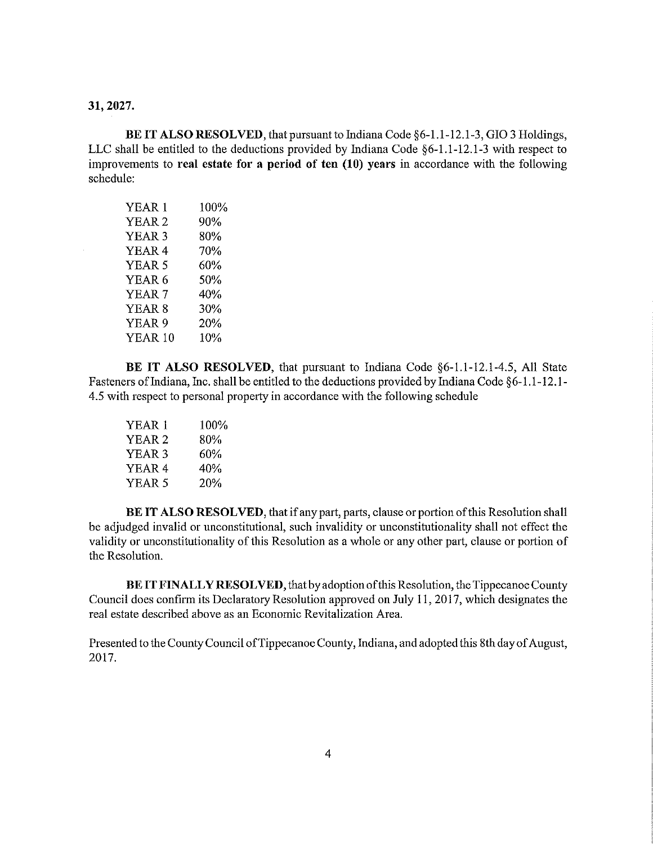## 31, 2027.

 $\sim$ 

BE IT ALSO RESOLVED, that pursuant to Indiana Code §6-1.1-12.1-3, GIO 3 Holdings, LLC shall be entitled to the deductions provided by Indiana Code §6-1.1-12.1-3 with respect to improvements to real estate for a period of ten  $(10)$  years in accordance with the following schedule:

| YEAR <sub>1</sub> | 100% |
|-------------------|------|
| YEAR 2            | 90%  |
| YEAR 3            | 80%  |
| YEAR 4            | 70%  |
| YEAR 5            | 60%  |
| YEAR 6            | 50%  |
| YEAR 7            | 40%  |
| YEAR 8            | 30%  |
| YEAR <sub>9</sub> | 20%  |
| YEAR 10           | 10%  |

BE IT ALSO RESOLVED, that pursuant to Indiana Code §6-l.1-12.1-4.5, All State Fasteners of Indiana, Inc. shall be entitled to the deductions provided by Indiana Code §6-1.1-12.1-4.5 with respect to personal property in accordance with the following schedule

| YEAR 1            | 100% |
|-------------------|------|
| YEAR <sub>2</sub> | 80%  |
| YEAR <sub>3</sub> | 60%  |
| YEAR <sub>4</sub> | 40%  |
| YEAR 5            | 20%  |
|                   |      |

BE IT ALSO RESOLVED, that if any part, parts, clause or portion of this Resolution shall be adjudged invalid or unconstitutional, such invalidity or unconstitutionality shall not effect the validity or unconstitutionality of this Resolution as a whole or any other part, clause or portion of the Resolution.

BE IT FINALLY RESOLVED, that by adoption of this Resolution, the Tippecanoe County Council does confirm its Declaratory Resolution approved on July 11, 2017, which designates the real estate described above as an Economic Revitalization Area.

Presented to the County Council of Tippecanoe County, Indiana, and adopted this 8th day of August, 2017.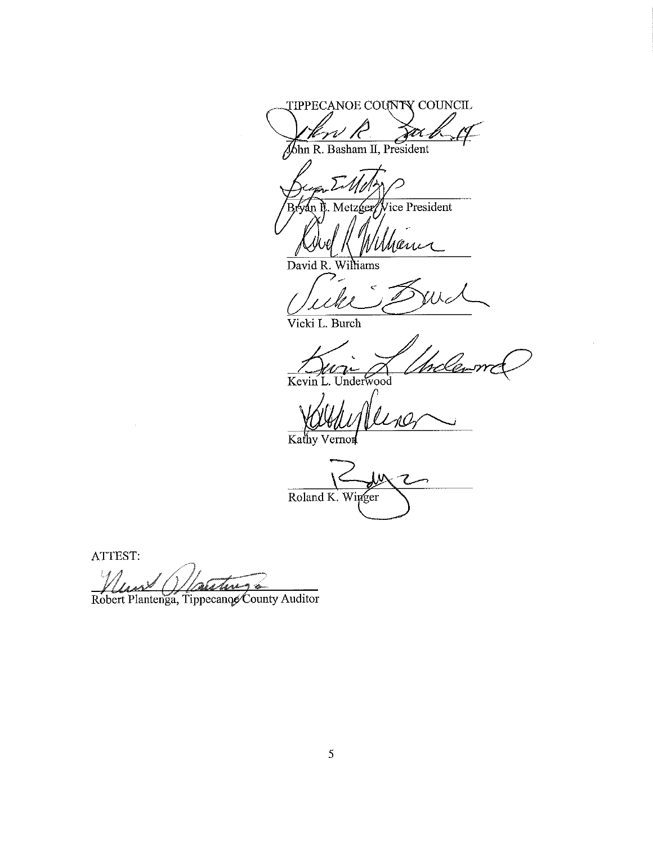TIPPECANOE COUNTY COUNCIL Jan V

John R. Basham II, President

Metzger/Vice President án rani

David R. Williams

Vicki L. Burch

Kevin L. Underwood

LAO Kathy Vernor

Roland K. Winger

ATTEST:

app

Robert Plantenga, Tippecanoe County Auditor